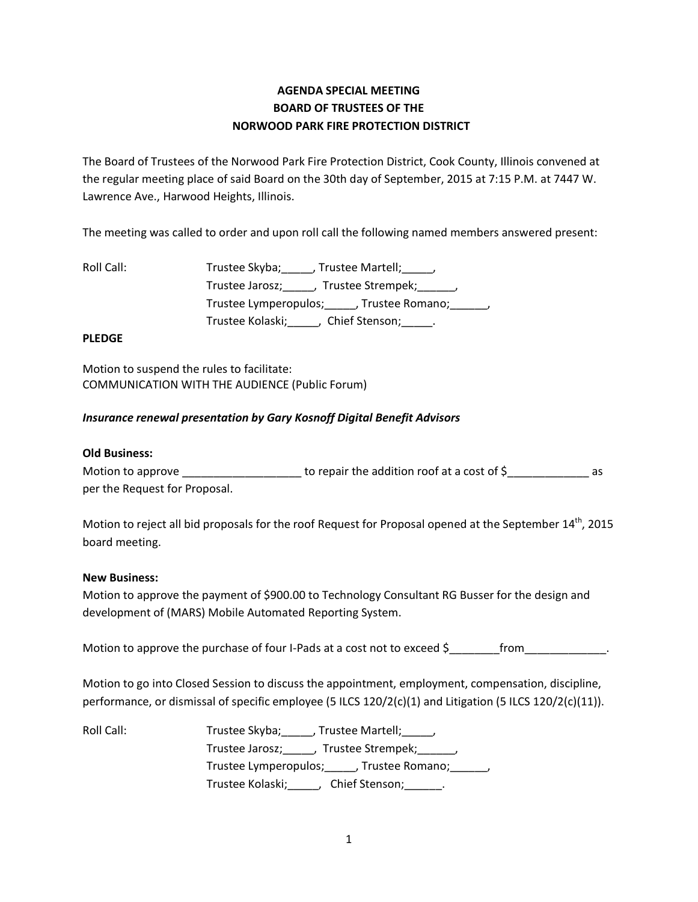# **AGENDA SPECIAL MEETING BOARD OF TRUSTEES OF THE NORWOOD PARK FIRE PROTECTION DISTRICT**

The Board of Trustees of the Norwood Park Fire Protection District, Cook County, Illinois convened at the regular meeting place of said Board on the 30th day of September, 2015 at 7:15 P.M. at 7447 W. Lawrence Ave., Harwood Heights, Illinois.

The meeting was called to order and upon roll call the following named members answered present:

| Roll Call: | Trustee Skyba; , Trustee Martell; ,                  |
|------------|------------------------------------------------------|
|            | Trustee Jarosz; _____, Trustee Strempek; ______,     |
|            | Trustee Lymperopulos; _____, Trustee Romano; ______, |
|            | Trustee Kolaski; Chief Stenson; _____.               |

## **PLEDGE**

Motion to suspend the rules to facilitate: COMMUNICATION WITH THE AUDIENCE (Public Forum)

## *Insurance renewal presentation by Gary Kosnoff Digital Benefit Advisors*

#### **Old Business:**

Motion to approve \_\_\_\_\_\_\_\_\_\_\_\_\_\_\_\_\_\_\_\_\_\_\_\_ to repair the addition roof at a cost of \$\_\_\_\_\_\_\_\_\_\_\_\_\_\_\_\_\_\_\_\_ as per the Request for Proposal.

Motion to reject all bid proposals for the roof Request for Proposal opened at the September  $14^{th}$ , 2015 board meeting.

#### **New Business:**

Motion to approve the payment of \$900.00 to Technology Consultant RG Busser for the design and development of (MARS) Mobile Automated Reporting System.

Motion to approve the purchase of four I-Pads at a cost not to exceed \$\_\_\_\_\_\_\_\_\_\_ from\_\_

Motion to go into Closed Session to discuss the appointment, employment, compensation, discipline, performance, or dismissal of specific employee (5 ILCS 120/2(c)(1) and Litigation (5 ILCS 120/2(c)(11)).

| Roll Call: | Trustee Skyba; , Trustee Martell; ,                     |
|------------|---------------------------------------------------------|
|            | Trustee Jarosz; _____, Trustee Strempek; ______,        |
|            | Trustee Lymperopulos; _____, Trustee Romano; ______,    |
|            | Trustee Kolaski; Land Land<br>Chief Stenson; Fig. 2016. |